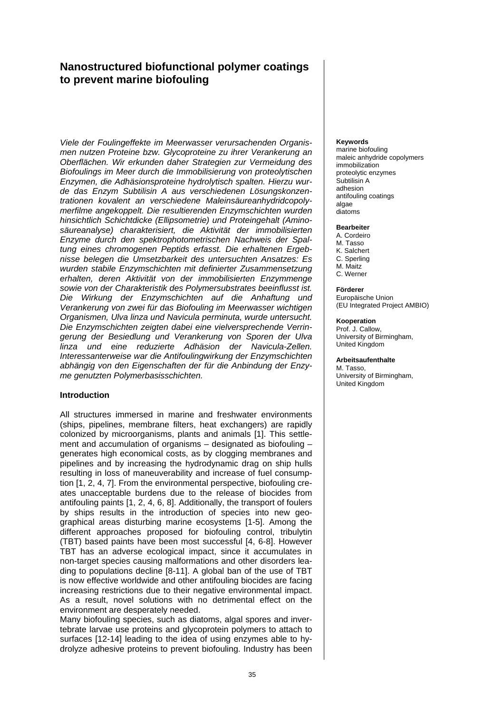# **Nanostructured biofunctional polymer coatings to prevent marine biofouling**

*Viele der Foulingeffekte im Meerwasser verursachenden Organismen nutzen Proteine bzw. Glycoproteine zu ihrer Verankerung an Oberflächen. Wir erkunden daher Strategien zur Vermeidung des Biofoulings im Meer durch die Immobilisierung von proteolytischen Enzymen, die Adhäsionsproteine hydrolytisch spalten. Hierzu wurde das Enzym Subtilisin A aus verschiedenen Lösungskonzentrationen kovalent an verschiedene Maleinsäureanhydridcopolymerfilme angekoppelt. Die resultierenden Enzymschichten wurden hinsichtlich Schichtdicke (Ellipsometrie) und Proteingehalt (Aminosäureanalyse) charakterisiert, die Aktivität der immobilisierten Enzyme durch den spektrophotometrischen Nachweis der Spaltung eines chromogenen Peptids erfasst. Die erhaltenen Ergebnisse belegen die Umsetzbarkeit des untersuchten Ansatzes: Es wurden stabile Enzymschichten mit definierter Zusammensetzung erhalten, deren Aktivität von der immobilisierten Enzymmenge sowie von der Charakteristik des Polymersubstrates beeinflusst ist. Die Wirkung der Enzymschichten auf die Anhaftung und Verankerung von zwei für das Biofouling im Meerwasser wichtigen Organismen, Ulva linza und Navicula perminuta, wurde untersucht. Die Enzymschichten zeigten dabei eine vielversprechende Verringerung der Besiedlung und Verankerung von Sporen der Ulva linza und eine reduzierte Adhäsion der Navicula-Zellen. Interessanterweise war die Antifoulingwirkung der Enzymschichten abhängig von den Eigenschaften der für die Anbindung der Enzyme genutzten Polymerbasisschichten.* 

# **Introduction**

All structures immersed in marine and freshwater environments (ships, pipelines, membrane filters, heat exchangers) are rapidly colonized by microorganisms, plants and animals [1]. This settlement and accumulation of organisms – designated as biofouling – generates high economical costs, as by clogging membranes and pipelines and by increasing the hydrodynamic drag on ship hulls resulting in loss of maneuverability and increase of fuel consumption [1, 2, 4, 7]. From the environmental perspective, biofouling creates unacceptable burdens due to the release of biocides from antifouling paints [1, 2, 4, 6, 8]. Additionally, the transport of foulers by ships results in the introduction of species into new geographical areas disturbing marine ecosystems [1-5]. Among the different approaches proposed for biofouling control, tribulytin (TBT) based paints have been most successful [4, 6-8]. However TBT has an adverse ecological impact, since it accumulates in non-target species causing malformations and other disorders leading to populations decline [8-11]. A global ban of the use of TBT is now effective worldwide and other antifouling biocides are facing increasing restrictions due to their negative environmental impact. As a result, novel solutions with no detrimental effect on the environment are desperately needed.

Many biofouling species, such as diatoms, algal spores and invertebrate larvae use proteins and glycoprotein polymers to attach to surfaces [12-14] leading to the idea of using enzymes able to hydrolyze adhesive proteins to prevent biofouling. Industry has been

#### **Keywords**

marine biofouling maleic anhydride copolymers immobilization proteolytic enzymes Subtilisin A adhesion antifouling coatings algae diatoms

#### **Bearbeiter**

- A. Cordeiro M. Tasso K. Salchert C. Sperling
- M. Maitz
- C. Werner

#### **Förderer**

Europäische Union (EU Integrated Project AMBIO)

#### **Kooperation**

Prof. J. Callow, University of Birmingham, United Kingdom

#### **Arbeitsaufenthalte**

M. Tasso, University of Birmingham, United Kingdom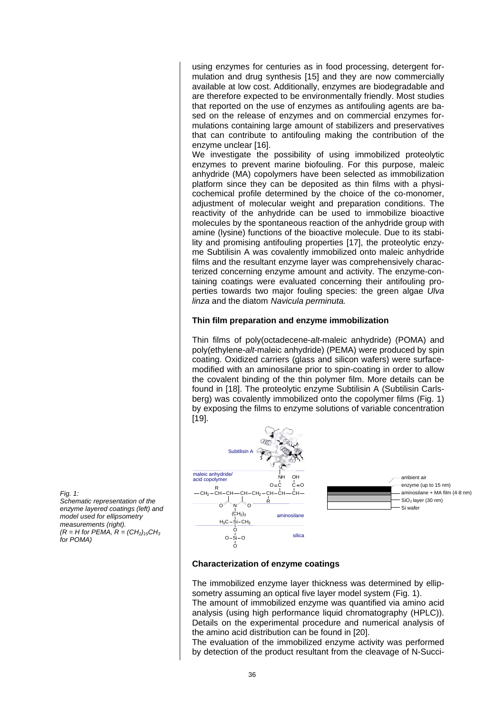using enzymes for centuries as in food processing, detergent formulation and drug synthesis [15] and they are now commercially available at low cost. Additionally, enzymes are biodegradable and are therefore expected to be environmentally friendly. Most studies that reported on the use of enzymes as antifouling agents are based on the release of enzymes and on commercial enzymes formulations containing large amount of stabilizers and preservatives that can contribute to antifouling making the contribution of the enzyme unclear [16].

We investigate the possibility of using immobilized proteolytic enzymes to prevent marine biofouling. For this purpose, maleic anhydride (MA) copolymers have been selected as immobilization platform since they can be deposited as thin films with a physicochemical profile determined by the choice of the co-monomer, adjustment of molecular weight and preparation conditions. The reactivity of the anhydride can be used to immobilize bioactive molecules by the spontaneous reaction of the anhydride group with amine (lysine) functions of the bioactive molecule. Due to its stability and promising antifouling properties [17], the proteolytic enzyme Subtilisin A was covalently immobilized onto maleic anhydride films and the resultant enzyme layer was comprehensively characterized concerning enzyme amount and activity. The enzyme-containing coatings were evaluated concerning their antifouling properties towards two major fouling species: the green algae *Ulva linza* and the diatom *Navicula perminuta.*

# **Thin film preparation and enzyme immobilization**

Thin films of poly(octadecene-*alt*-maleic anhydride) (POMA) and poly(ethylene-*alt*-maleic anhydride) (PEMA) were produced by spin coating. Oxidized carriers (glass and silicon wafers) were surfacemodified with an aminosilane prior to spin-coating in order to allow the covalent binding of the thin polymer film. More details can be found in [18]. The proteolytic enzyme Subtilisin A (Subtilisin Carlsberg) was covalently immobilized onto the copolymer films (Fig. 1) by exposing the films to enzyme solutions of variable concentration [19].



# **Characterization of enzyme coatings**

The immobilized enzyme layer thickness was determined by ellipsometry assuming an optical five layer model system (Fig. 1). The amount of immobilized enzyme was quantified via amino acid analysis (using high performance liquid chromatography (HPLC)). Details on the experimental procedure and numerical analysis of the amino acid distribution can be found in [20].

The evaluation of the immobilized enzyme activity was performed by detection of the product resultant from the cleavage of N-Succi-

*Fig. 1:* 

*Schematic representation of the enzyme layered coatings (left) and model used for ellipsometry measurements (right).*   $(R = H$  for PEMA,  $R = (CH<sub>2</sub>)<sub>15</sub>CH<sub>3</sub>$ *for POMA)*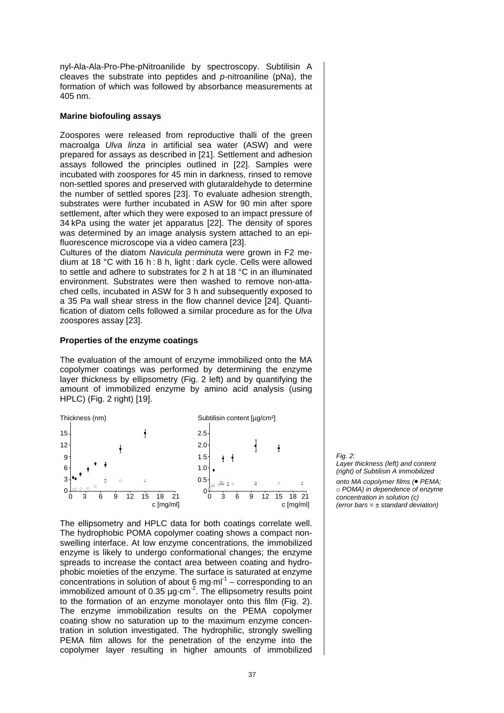nyl-Ala-Ala-Pro-Phe-pNitroanilide by spectroscopy. Subtilisin A cleaves the substrate into peptides and *p-*nitroaniline (pNa), the formation of which was followed by absorbance measurements at 405 nm.

## **Marine biofouling assays**

Zoospores were released from reproductive thalli of the green macroalga *Ulva linza* in artificial sea water (ASW) and were prepared for assays as described in [21]. Settlement and adhesion assays followed the principles outlined in [22]. Samples were incubated with zoospores for 45 min in darkness, rinsed to remove non-settled spores and preserved with glutaraldehyde to determine the number of settled spores [23]. To evaluate adhesion strength, substrates were further incubated in ASW for 90 min after spore settlement, after which they were exposed to an impact pressure of 34 kPa using the water jet apparatus [22]. The density of spores was determined by an image analysis system attached to an epifluorescence microscope via a video camera [23].

Cultures of the diatom *Navicula perminuta* were grown in F2 medium at 18 °C with 16 h: 8 h, light: dark cycle. Cells were allowed to settle and adhere to substrates for 2 h at 18 °C in an illuminated environment. Substrates were then washed to remove non-attached cells, incubated in ASW for 3 h and subsequently exposed to a 35 Pa wall shear stress in the flow channel device [24]. Quantification of diatom cells followed a similar procedure as for the *Ulva*  zoospores assay [23].

# **Properties of the enzyme coatings**

The evaluation of the amount of enzyme immobilized onto the MA copolymer coatings was performed by determining the enzyme layer thickness by ellipsometry (Fig. 2 left) and by quantifying the amount of immobilized enzyme by amino acid analysis (using HPLC) (Fig. 2 right) [19].



The ellipsometry and HPLC data for both coatings correlate well. The hydrophobic POMA copolymer coating shows a compact nonswelling interface. At low enzyme concentrations, the immobilized enzyme is likely to undergo conformational changes; the enzyme spreads to increase the contact area between coating and hydrophobic moieties of the enzyme. The surface is saturated at enzyme concentrations in solution of about 6 mg·m $I^1$  – corresponding to an immobilized amount of 0.35  $\mu$ g·cm<sup>-2</sup>. The ellipsometry results point to the formation of an enzyme monolayer onto this film (Fig. 2). The enzyme immobilization results on the PEMA copolymer coating show no saturation up to the maximum enzyme concentration in solution investigated. The hydrophilic, strongly swelling PEMA film allows for the penetration of the enzyme into the copolymer layer resulting in higher amounts of immobilized

*Fig. 2: Layer thickness (left) and content (right) of Subtilisin A immobilized onto MA copolymer films (*• *PEMA;*  <sup>c</sup> *POMA) in dependence of enzyme* 

*concentration in solution (c) (error bars = ± standard deviation)*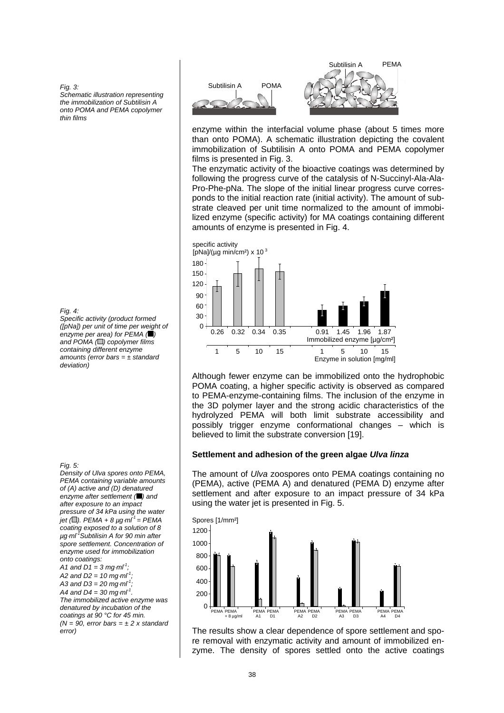*Fig. 3:*

*Schematic illustration representing the immobilization of Subtilisin A onto POMA and PEMA copolymer thin films* 

*Fig. 4:* 

*Specific activity (product formed ([pNa]) per unit of time per weight of enzyme per area) for PEMA ( ) and POMA ( ) copolymer films containing different enzyme amounts (error bars = ± standard deviation)* 

*Fig. 5:* 

*Density of Ulva spores onto PEMA, PEMA containing variable amounts of (A) active and (D) denatured enzyme after settlement ( ) and after exposure to an impact pressure of 34 kPa using the water jet* (□). *PEMA* + 8  $\mu$ g⋅*ml*<sup>-1</sup> = *PEMA coating exposed to a solution of 8 µg*⋅*ml-1Subtilisin A for 90 min after spore settlement. Concentration of enzyme used for immobilization onto coatings:* 

*A1 and D1 = 3 mg*⋅*ml-1; A2 and D2 = 10 mg*⋅*ml-1; A3 and D3 = 20 mg*⋅*ml-1; A4 and D4 = 30 mg*⋅*ml-1. The immobilized active enzyme was denatured by incubation of the coatings at 90 °C for 45 min. (N = 90, error bars = ± 2 x standard error)* 



enzyme within the interfacial volume phase (about 5 times more than onto POMA). A schematic illustration depicting the covalent immobilization of Subtilisin A onto POMA and PEMA copolymer films is presented in Fig. 3.

The enzymatic activity of the bioactive coatings was determined by following the progress curve of the catalysis of N-Succinyl-Ala-Ala-Pro-Phe-pNa. The slope of the initial linear progress curve corresponds to the initial reaction rate (initial activity). The amount of substrate cleaved per unit time normalized to the amount of immobilized enzyme (specific activity) for MA coatings containing different amounts of enzyme is presented in Fig. 4.



Although fewer enzyme can be immobilized onto the hydrophobic POMA coating, a higher specific activity is observed as compared to PEMA-enzyme-containing films. The inclusion of the enzyme in the 3D polymer layer and the strong acidic characteristics of the hydrolyzed PEMA will both limit substrate accessibility and possibly trigger enzyme conformational changes – which is believed to limit the substrate conversion [19].

# **Settlement and adhesion of the green algae** *Ulva linza*

The amount of *Ulva* zoospores onto PEMA coatings containing no (PEMA), active (PEMA A) and denatured (PEMA D) enzyme after settlement and after exposure to an impact pressure of 34 kPa using the water jet is presented in Fig. 5.



The results show a clear dependence of spore settlement and spore removal with enzymatic activity and amount of immobilized enzyme. The density of spores settled onto the active coatings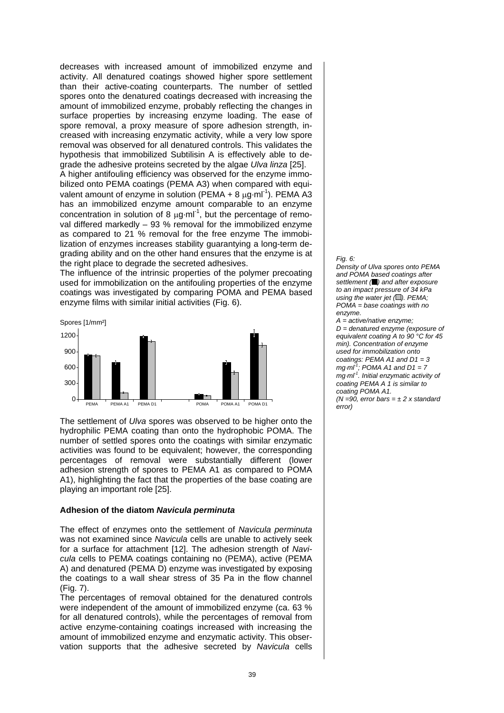decreases with increased amount of immobilized enzyme and activity. All denatured coatings showed higher spore settlement than their active-coating counterparts. The number of settled spores onto the denatured coatings decreased with increasing the amount of immobilized enzyme, probably reflecting the changes in surface properties by increasing enzyme loading. The ease of spore removal, a proxy measure of spore adhesion strength, increased with increasing enzymatic activity, while a very low spore removal was observed for all denatured controls. This validates the hypothesis that immobilized Subtilisin A is effectively able to degrade the adhesive proteins secreted by the algae *Ulva linza* [25].

A higher antifouling efficiency was observed for the enzyme immobilized onto PEMA coatings (PEMA A3) when compared with equivalent amount of enzyme in solution (PEMA + 8  $\mu$ g·ml<sup>-1</sup>). PEMA A3 has an immobilized enzyme amount comparable to an enzyme concentration in solution of 8  $\mu$ g·ml<sup>-1</sup>, but the percentage of removal differed markedly – 93 % removal for the immobilized enzyme as compared to 21 % removal for the free enzyme The immobilization of enzymes increases stability guarantying a long-term degrading ability and on the other hand ensures that the enzyme is at the right place to degrade the secreted adhesives.

The influence of the intrinsic properties of the polymer precoating used for immobilization on the antifouling properties of the enzyme coatings was investigated by comparing POMA and PEMA based enzyme films with similar initial activities (Fig. 6).



The settlement of *Ulva* spores was observed to be higher onto the hydrophilic PEMA coating than onto the hydrophobic POMA. The number of settled spores onto the coatings with similar enzymatic activities was found to be equivalent; however, the corresponding percentages of removal were substantially different (lower adhesion strength of spores to PEMA A1 as compared to POMA A1), highlighting the fact that the properties of the base coating are playing an important role [25].

# **Adhesion of the diatom** *Navicula perminuta*

The effect of enzymes onto the settlement of *Navicula perminuta* was not examined since *Navicula* cells are unable to actively seek for a surface for attachment [12]. The adhesion strength of *Navicula* cells to PEMA coatings containing no (PEMA), active (PEMA A) and denatured (PEMA D) enzyme was investigated by exposing the coatings to a wall shear stress of 35 Pa in the flow channel (Fig. 7).

The percentages of removal obtained for the denatured controls were independent of the amount of immobilized enzyme (ca. 63 % for all denatured controls), while the percentages of removal from active enzyme-containing coatings increased with increasing the amount of immobilized enzyme and enzymatic activity. This observation supports that the adhesive secreted by *Navicula* cells

### *Fig. 6:*

*Density of Ulva spores onto PEMA and POMA based coatings after settlement ( ) and after exposure to an impact pressure of 34 kPa using the water jet* ( $\Box$ ). PEMA: *POMA = base coatings with no enzyme.* 

*A = active/native enzyme; D = denatured enzyme (exposure of equivalent coating A to 90 °C for 45 min). Concentration of enzyme used for immobilization onto coatings: PEMA A1 and D1 = 3 mg*⋅*ml-1; POMA A1 and D1 = 7 mg*⋅*ml-1. Initial enzymatic activity of coating PEMA A 1 is similar to coating POMA A1. (N =90, error bars = ± 2 x standard error)*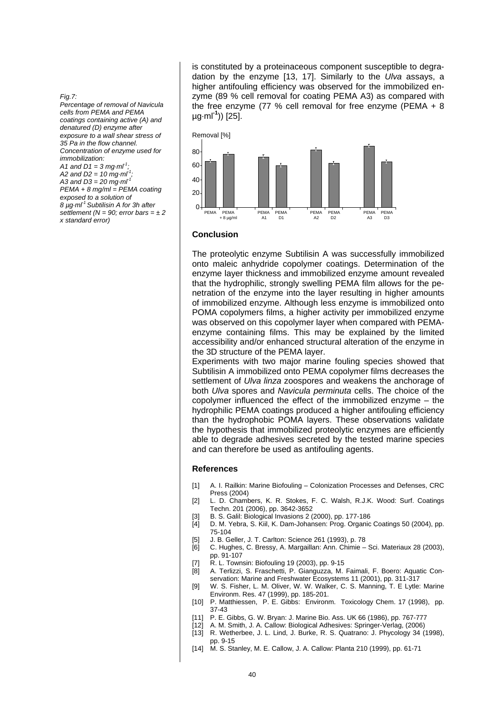*Fig.7:* 

*Percentage of removal of Navicula cells from PEMA and PEMA coatings containing active (A) and denatured (D) enzyme after exposure to a wall shear stress of 35 Pa in the flow channel. Concentration of enzyme used for immobilization: A1 and D1 = 3 mg·ml-1; A2 and D2 = 10 mg·ml-1; A3 and D3 = 20 mg·ml-1 PEMA + 8 mg/ml = PEMA coating exposed to a solution of 8 µg·ml-1 Subtilisin A for 3h after settlement (N = 90; error bars = ± 2 x standard error)* 

is constituted by a proteinaceous component susceptible to degradation by the enzyme [13, 17]. Similarly to the *Ulva* assays, a higher antifouling efficiency was observed for the immobilized enzyme (89 % cell removal for coating PEMA A3) as compared with the free enzyme (77 % cell removal for free enzyme (PEMA + 8 µg·ml**-1**)) [25].



#### **Conclusion**

The proteolytic enzyme Subtilisin A was successfully immobilized onto maleic anhydride copolymer coatings. Determination of the enzyme layer thickness and immobilized enzyme amount revealed that the hydrophilic, strongly swelling PEMA film allows for the penetration of the enzyme into the layer resulting in higher amounts of immobilized enzyme. Although less enzyme is immobilized onto POMA copolymers films, a higher activity per immobilized enzyme was observed on this copolymer layer when compared with PEMAenzyme containing films. This may be explained by the limited accessibility and/or enhanced structural alteration of the enzyme in the 3D structure of the PEMA layer.

Experiments with two major marine fouling species showed that Subtilisin A immobilized onto PEMA copolymer films decreases the settlement of *Ulva linza* zoospores and weakens the anchorage of both *Ulva* spores and *Navicula perminuta* cells. The choice of the copolymer influenced the effect of the immobilized enzyme – the hydrophilic PEMA coatings produced a higher antifouling efficiency than the hydrophobic POMA layers. These observations validate the hypothesis that immobilized proteolytic enzymes are efficiently able to degrade adhesives secreted by the tested marine species and can therefore be used as antifouling agents.

## **References**

- [1] A. I. Railkin: Marine Biofouling Colonization Processes and Defenses, CRC Press (2004)
- [2] L. D. Chambers, K. R. Stokes, F. C. Walsh, R.J.K. Wood: Surf. Coatings Techn. 201 (2006), pp. 3642-3652
- [3] B. S. Galil: Biological Invasions 2 (2000), pp. 177-186<br>[4] D. M. Yebra, S. Kiil, K. Dam-Johansen: Prog. Organic
- D. M. Yebra, S. Kiil, K. Dam-Johansen: Prog. Organic Coatings 50 (2004), pp. 75-104
- [5] J. B. Geller, J. T. Carlton: Science 261 (1993), p. 78
- [6] C. Hughes, C. Bressy, A. Margaillan: Ann. Chimie Sci. Materiaux 28 (2003), pp. 91-107
- [7] R. L. Townsin: Biofouling 19 (2003), pp. 9-15
- [8] A. Terlizzi, S. Fraschetti, P. Gianguzza, M. Faimali, F. Boero: Aquatic Conservation: Marine and Freshwater Ecosystems 11 (2001), pp. 311-317
- [9] W. S. Fisher, L. M. Oliver, W. W. Walker, C. S. Manning, T. E Lytle: Marine Environm. Res. 47 (1999), pp. 185-201.
- [10] P. Matthiessen, P. E. Gibbs: Environm. Toxicology Chem. 17 (1998), pp. 37-43
- [11] P. E. Gibbs, G. W. Bryan: J. Marine Bio. Ass. UK 66 (1986), pp. 767-777
- [12] A. M. Smith, J. A. Callow: Biological Adhesives: Springer-Verlag, (2006)
- [13] R. Wetherbee, J. L. Lind, J. Burke, R. S. Quatrano: J. Phycology 34 (1998), pp. 9-15
- [14] M. S. Stanley, M. E. Callow, J. A. Callow: Planta 210 (1999), pp. 61-71